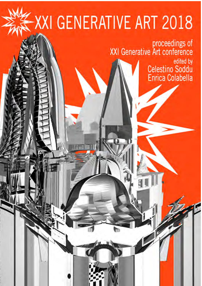# -XXI GENERATIVE ART 2018

proceedings of<br>XXI Generative Art conference edited by Celestino Soddu<br>Enrica Colabella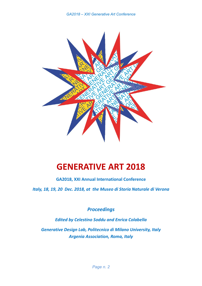

## **GENERATIVE ART 2018**

**GA2018, XXI Annual International Conference** 

*Italy, 18, 19, 20 Dec. 2018, at the Museo di Storia Naturale di Verona* 

*Proceedings* 

*Edited by Celestino Soddu and Enrica Colabella* 

*Generative Design Lab, Politecnico di Milano University, Italy Argenia Association, Roma, Italy*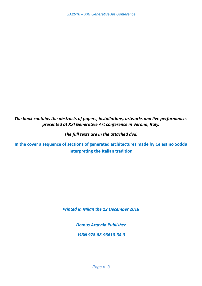*The book contains the abstracts of papers, installations, artworks and live performances presented at XXI Generative Art conference in Verona, Italy.* 

*The full texts are in the attached dvd.* 

**In the cover a sequence of sections of generated architectures made by Celestino Soddu Interpreting the Italian tradition** 

*Printed in Milan the 12 December 2018* 

 $\_$  , and the set of the set of the set of the set of the set of the set of the set of the set of the set of the set of the set of the set of the set of the set of the set of the set of the set of the set of the set of th

*Domus Argenia Publisher* 

 *ISBN 978‐88‐96610‐34‐3*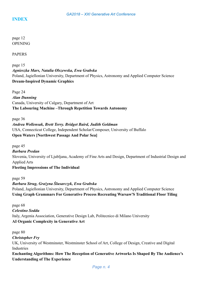page 12 OPENING

PAPERS

page 15 *Agnieszka Mars, Natalia Olszewska, Ewa Grabska*  Poland, Jagiellonian University, Department of Physics, Astronomy and Applied Computer Science **Dream-Inspired Dynamic Graphics** 

Page 24 *Alan Dunning*  Canada, University of Calgary, Department of Art **The Labouring Machine –Through Repetition Towards Autonomy** 

page 36 *Andrea Wollensak, Brett Terry. Bridget Baird, Judith Goldman*  USA, Connecticut College, Independent Scholar/Composer, University of Buffalo **Open Waters [Northwest Passage And Polar Sea]** 

page 45 *Barbara Predan*  Slovenia, University of Ljubljana, Academy of Fine Arts and Design, Department of Industrial Design and Applied Arts **Fleeting Impressions of The Individual** 

page 59 *Barbara Strug, Grażyna Ślusarczyk, Ewa Grabska*  Poland, Jagiellonian University, Department of Physics, Astronomy and Applied Computer Science **Using Graph Grammars For Generative Process Recreating Warsaw'S Traditional Floor Tiling** 

page 68 *Celestino Soddu*  Italy, Argenia Association, Generative Design Lab, Politecnico di Milano University **AI Organic Complexity in Generative Art** 

page 80 *Christopher Fry*  UK, University of Westminster, Westminster School of Art, College of Design, Creative and Digital Industries

**Enchanting Algorithms: How The Reception of Generative Artworks Is Shaped By The Audience's Understanding of The Experience**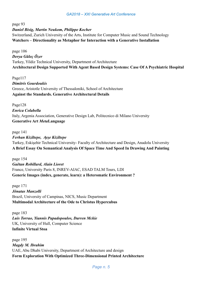page 93

*Daniel Bisig, Martin Neukom, Philippe Kocher* 

Switzerland, Zurich University of the Arts, Institute for Computer Music and Sound Technology **Watchers – Directionality as Metaphor for Interaction with a Generative Installation** 

page 106 *Derya Güleç Özer*  Turkey, Yildiz Technical University, Department of Architecture **Architectural Design Supported With Agent Based Design Systems: Case Of A Psychiatric Hospital** 

Page117 *Dimitris Gourdoukis*  Greece, Aristotle University of Thessaloniki, School of Architecture **Against the Standards. Generative Architectural Details** 

Page128 *Enrica Colabella*  Italy, Argenia Association, Generative Design Lab, Politecnico di Milano University **Generative Art** *Meta***Language** 

page 141

*Ferhan Kiziltepe, Ayşe Kiziltepe*  Turkey, Eskişehir Technical University- Faculty of Architecture and Design, Anadolu University **A Brief Essay On Semantical Analysis Of Space Time And Speed In Drawing And Painting** 

page 154 *Gaëtan Robillard, Alain Lioret*  France, University Paris 8, INREV-AIAC, ESAD TALM Tours, LDI **Generic Images (index, generate, learn): a Heteromatic Environment ?** 

page 171 *Jônatas Manzolli*  Brazil, University of Campinas, NICS, Music Department **Multimodal Architecture of the Ode to Christus Hypercubus** 

page 183 *Luis Torrao, Yiannis Papadopoulos, Darren Mckie*  UK, University of Hull, Computer Science **Infinite Virtual Stoa** 

page 195 *Magdy M. Ibrahim*  UAE, Abu Dhabi University, Department of Architecture and design **Form Exploration With Optimized Three-Dimensional Printed Architecture**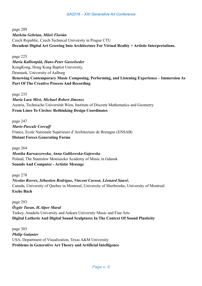page 209 *Markéta Gebrian, Miloš Florián*  Czech Republic, Czech Technical University in Prague CTU **Decadent Digital Art Growing Into Architecture For Virtual Reality + Artistic Interpretations.** 

page 225

*Maria Kallionpää, Hans-Peter Gasselseder*  KongKong, Hong Kong Baptist University, Denmark, University of Aalborg **Renewing Contemporary Music Composing, Performing, and Listening Experience – Immersion As Part Of The Creative Process And Recording** 

page 235 *Maria Lara Miró, Michael Robert Jimenez*  Austria, Technische Universität Wien, Institute of Discrete Mathematics and Geometry **From Lines To Circles: Rethinking Design Coordinates** 

page 247 *Marie-Pascale Corcuff*  France, Ecole Nationale Supérieure d'Architecture de Bretagne (ENSAB) **Distant Forces Generating Forms** 

page 264

*Monika Karwaszewska, Anna Galikowska-Gajewska*  Poland, The Stanislaw Moniuszko Academy of Music in Gdansk **Sounds And Computer - Artistic Message** 

page 278 *Nicolas Reeves, Sébastien Rodrigue, Vincent Cusson, Léonard Sauvé,*  Canada, University of Quebec in Montreal, University of Sherbrooke, University of Montreal **Esche Bach** 

page 293 *Özgür Turan, H.Alper Maral*  Turkey, Anadolu University and Ankara University Music and Fine Arts **Digital Lutherie And Digital Sound Sculptures In The Context Of Sound Plasticity** 

page 303 *Philip Galanter*  USA, Department of Visualization, Texas A&M University **Problems in Generative Art Theory and Artificial Intelligence**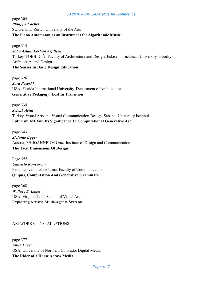#### page 304 *Philippe Kocher*  Switzerland, Zurich University of the Arts **The Piano Automaton as an Instrument for Algorithmic Music**

page 314 *Şaha Aslan, Ferhan Kiziltepe*  Turkey, TOBB ETÜ- Faculty of Architecture and Design, Eskişehir Technical University- Faculty of Architecture and Design. **The Senses In Basic Design Education** 

page 326 *Sara Pezeshk*  USA, Florida International University, Department of Architecture **Generative Pedagogy: Lost In Transition** 

page 334 *Selcuk Artut*  Turkey, Visual Arts and Visual Communication Design, Sabanci University Istanbul **Futurism Art And Its Significance To Computational Generative Art** 

page 343 *Stefanie Egger*  Austria, FH JOANNEUM Graz, Institute of Design and Communication **The Tacit Dimensions Of Design** 

Page 355 *Umberto Roncoroni*  Peru', Universidad de Lima, Faculty of Communication **Quipus, Computation And Generative Grammars** 

page 368 *Wallace S. Lages*  USA, Virginia Tech, School of Visual Arts **Exploring Artistic Multi-Agents Systems** 

#### ARTWORKS - INSTALLATIONS

page 377 *Anna Ursyn*  USA, University of Northern Colorado, Digital Media **The Rider of a Horse Across Media**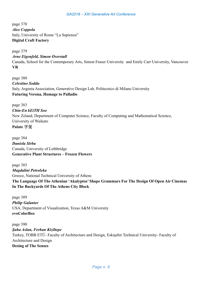page 378 *Alex Coppola*  Italy, University of Rome "La Sapienza" **Digital Craft Factory** 

page 379 *Arne Eigenfeld, Simon Overstall*  Canada, School for the Contemporary Arts, Simon Fraser University and Emily Carr University, Vancouver **VR** 

page 380 *Celestino Soddu*  Italy, Argenia Association, Generative Design Lab, Politecnico di Milano University **Futuring Verona, Homage to Palladio** 

page 383 *Chin-En kEiTH Soo*  New Zeland, Department of Computer Science, Faculty of Computing and Mathematical Science, University of Waikato **Palate** 字觉

page 384 *Daniela Sirbu*  Canada, University of Lethbridge **Generative Plant Structures – Frozen Flowers** 

page 385 *Magdalini Petroleka*  Greece, National Technical University of Athens **The Language Of The Athenian 'Akalyptos' Shape Grammars For The Design Of Open Air Cinemas In The Backyards Of The Athens City Block** 

page 389 *Philip Galanter*  USA, Department of Visualization, Texas A&M University **evoColorBox** 

page 390 *Şaha Aslan, Ferhan Kiziltepe*  Turkey, TOBB ETÜ- Faculty of Architecture and Design, Eskişehir Technical University- Faculty of Architecture and Design **Desing of The Senses**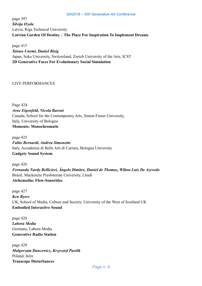page 397 *Silvija Ozola*  Latvia, Riga Technical University **Latvian Garden Of Destiny – The Place For Inspiration To Implement Dreams** 

page 415 *Tatsuo Unemi, Daniel Bisig*  Japan, Soka University, Switzerland, Zurich University of the Arts, ICST **2D Generative Faces For Evolutionary Social Simulation** 

#### LIVE PERFORMANCES

Page 424 *Arne Eigenfeld, Nicola Baroni*  Canada, School for the Contemporary Arts, Simon Fraser University, Italy, University of Bologna **Moments: Monochromatic** 

page 425 *Fabio Bernardi, Andrea Simonetto*  Italy, Accademia di Belle Arti di Carrara, Bologna University **Gadgety Sound System** 

page 426 *Fernanda Nardy Bellicieri, Ângelo Dimitre, Daniel de Thomaz, Wilton Luiz De Azevedo*  Brazil, Mackenzie Presbiterian University, Lhudi **Alchemedia: Flow-Sonorities** 

page 427 *Ken Byers*  UK, School of Media, Culture and Society. University of the West of Scotland UK **Embodied Interactive Sound** 

page 428 *Labora Media*  Germany, Labora Media **Generative Radio Station** 

page 429 *Małgorzata Dancewicz, Krzysztof Pawlik*  Poland, Inire **Transcape Disturbances**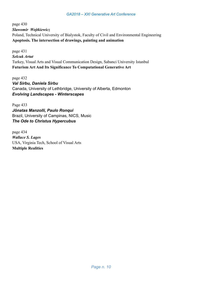page 430 *Slawomir Wojtkiewicz*  Poland, Technical University of Bialystok, Faculty of Civil and Environmental Engineering **Apoptosis. The intersection of drawings, painting and animation**

page 431 *Selcuk Artut*  Turkey, Visual Arts and Visual Communication Design, Sabanci University Istanbul **Futurism Art And Its Significance To Computational Generative Art** 

page 432 *Val Sirbu, Daniela Sirbu*  Canada, University of Lethbridge, University of Alberta, Edmonton *Evolving Landscapes - Winterscapes* 

Page 433 *Jônatas Manzolli, Paulo Ronqui*  Brazil, University of Campinas, NICS, Music *The Ode to Christus Hypercubus* 

page 434 *Wallace S. Lages*  USA, Virginia Tech, School of Visual Arts **Multiple Realities**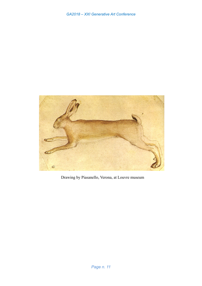

Drawing by Piasanello, Verona, at Louvre museum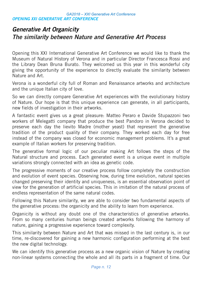### Generative Art Organicity The similarity between Nature and Generative Art Process

Opening this XXI International Generative Art Conference we would like to thank the Museum of Natural History of Verona and in particular Director Francesca Rossi and the Library Dean Bruna Burato. They welcomed us this year in this wonderful city giving the opportunity of the experience to directly evaluate the similarity between Nature and Art.

Verona is a wonderful city full of Roman and Renaissance artworks and architecture and the unique Italian city of love.

So we can directly compare Generative Art experiences with the evolutionary history of Nature. Our hope is that this unique experience can generate, in all participants, new fields of investigation in their artworks.

A fantastic event gives us a great pleasure: Matteo Peraro e Davide Stupazzoni two workers of Melegatti company that produce the best Pandoro in Verona decided to preserve each day the lievito Madre (mother yeast) that represent the generative tradition of the product quality of their company. They worked each day for free instead of the company was closed for economic management problems. It's a great example of Italian workers for preserving tradition.

The generative formal logic of our peculiar making Art follows the steps of the Natural structure and process. Each generated event is a unique event in multiple variations strongly connected with an idea as genetic code.

The progressive moments of our creative process follow completely the construction and evolution of event species. Observing how, during time evolution, natural species changed preserving their identity and uniqueness, is an essential observation point of view for the generation of artificial species. This in imitation of the natural process of endless representation of the same natural codes.

Following this Nature similarity, we are able to consider two fundamental aspects of the generative process: the organicity and the ability to learn from experience.

Organicity is without any doubt one of the characteristics of generative artworks. From so many centuries human beings created artworks following the harmony of nature, gaining a progressive experience toward complexity.

This similarity between Nature and Art that was missed in the last century is, in our time, re-discovered for gaining a new harmonic configuration performing at the best the new digital technology.

We can identify this generative process as a new organic vision of Nature by creating non-linear systems connecting the whole and all its parts in a fragment of time. Our